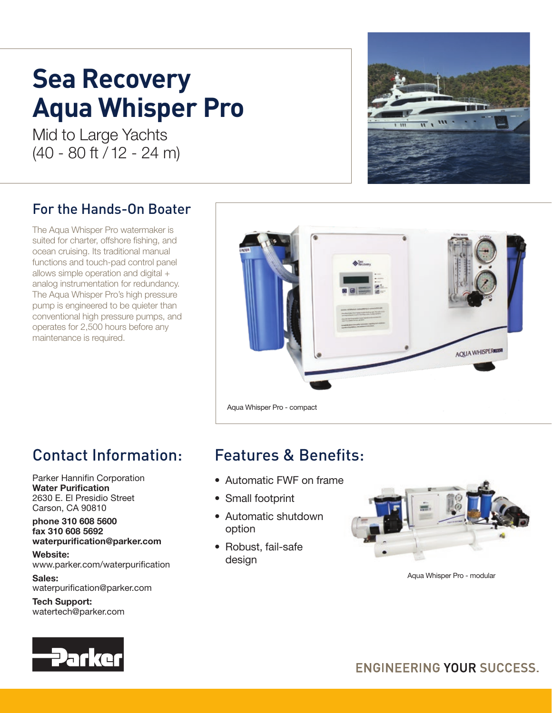# **Sea Recovery Aqua Whisper Pro**

Mid to Large Yachts (40 - 80 ft / 12 - 24 m)

## For the Hands-On Boater

The Aqua Whisper Pro watermaker is suited for charter, offshore fishing, and ocean cruising. Its traditional manual functions and touch-pad control panel allows simple operation and digital + analog instrumentation for redundancy. The Aqua Whisper Pro's high pressure pump is engineered to be quieter than conventional high pressure pumps, and operates for 2,500 hours before any maintenance is required.



# Contact Information:

Parker Hannifin Corporation Water Purification 2630 E. El Presidio Street Carson, CA 90810

#### phone 310 608 5600 fax 310 608 5692 waterpurification@parker.com

Website: www.parker.com/waterpurification

Sales: waterpurification@parker.com

Tech Support: watertech@parker.com

# Features & Benefits:

- Automatic FWF on frame
- Small footprint
- Automatic shutdown option
- Robust, fail-safe design



Aqua Whisper Pro - modular